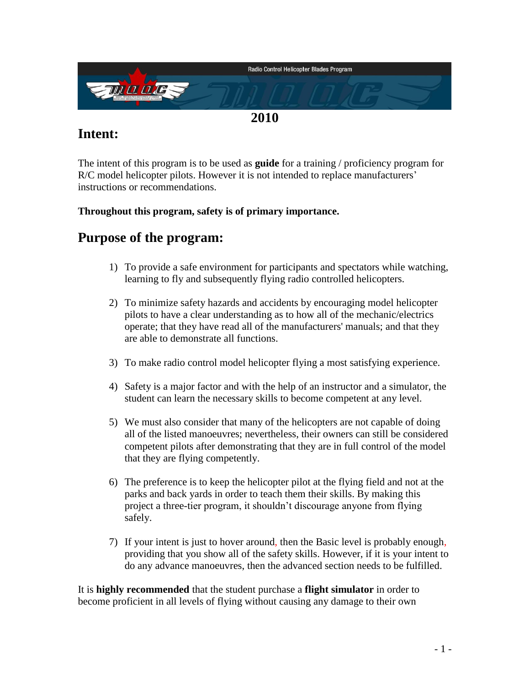

# **Intent:**

The intent of this program is to be used as **guide** for a training / proficiency program for R/C model helicopter pilots. However it is not intended to replace manufacturers' instructions or recommendations.

#### **Throughout this program, safety is of primary importance.**

# **Purpose of the program:**

- 1) To provide a safe environment for participants and spectators while watching, learning to fly and subsequently flying radio controlled helicopters.
- 2) To minimize safety hazards and accidents by encouraging model helicopter pilots to have a clear understanding as to how all of the mechanic/electrics operate; that they have read all of the manufacturers' manuals; and that they are able to demonstrate all functions.
- 3) To make radio control model helicopter flying a most satisfying experience.
- 4) Safety is a major factor and with the help of an instructor and a simulator, the student can learn the necessary skills to become competent at any level.
- 5) We must also consider that many of the helicopters are not capable of doing all of the listed manoeuvres; nevertheless, their owners can still be considered competent pilots after demonstrating that they are in full control of the model that they are flying competently.
- 6) The preference is to keep the helicopter pilot at the flying field and not at the parks and back yards in order to teach them their skills. By making this project a three-tier program, it shouldn't discourage anyone from flying safely.
- 7) If your intent is just to hover around, then the Basic level is probably enough, providing that you show all of the safety skills. However, if it is your intent to do any advance manoeuvres, then the advanced section needs to be fulfilled.

It is **highly recommended** that the student purchase a **flight simulator** in order to become proficient in all levels of flying without causing any damage to their own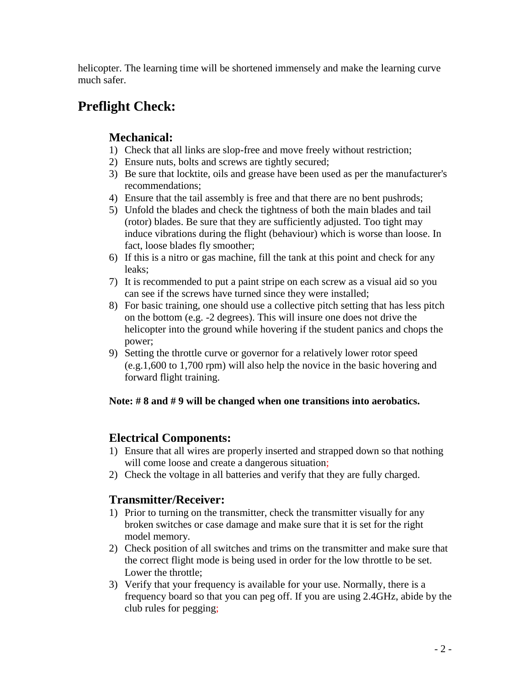helicopter. The learning time will be shortened immensely and make the learning curve much safer.

# **Preflight Check:**

# **Mechanical:**

- 1) Check that all links are slop-free and move freely without restriction;
- 2) Ensure nuts, bolts and screws are tightly secured;
- 3) Be sure that locktite, oils and grease have been used as per the manufacturer's recommendations;
- 4) Ensure that the tail assembly is free and that there are no bent pushrods;
- 5) Unfold the blades and check the tightness of both the main blades and tail (rotor) blades. Be sure that they are sufficiently adjusted. Too tight may induce vibrations during the flight (behaviour) which is worse than loose. In fact, loose blades fly smoother;
- 6) If this is a nitro or gas machine, fill the tank at this point and check for any leaks;
- 7) It is recommended to put a paint stripe on each screw as a visual aid so you can see if the screws have turned since they were installed;
- 8) For basic training, one should use a collective pitch setting that has less pitch on the bottom (e.g. -2 degrees). This will insure one does not drive the helicopter into the ground while hovering if the student panics and chops the power;
- 9) Setting the throttle curve or governor for a relatively lower rotor speed (e.g.1,600 to 1,700 rpm) will also help the novice in the basic hovering and forward flight training.

#### **Note: # 8 and # 9 will be changed when one transitions into aerobatics.**

## **Electrical Components:**

- 1) Ensure that all wires are properly inserted and strapped down so that nothing will come loose and create a dangerous situation;
- 2) Check the voltage in all batteries and verify that they are fully charged.

## **Transmitter/Receiver:**

- 1) Prior to turning on the transmitter, check the transmitter visually for any broken switches or case damage and make sure that it is set for the right model memory.
- 2) Check position of all switches and trims on the transmitter and make sure that the correct flight mode is being used in order for the low throttle to be set. Lower the throttle;
- 3) Verify that your frequency is available for your use. Normally, there is a frequency board so that you can peg off. If you are using 2.4GHz, abide by the club rules for pegging;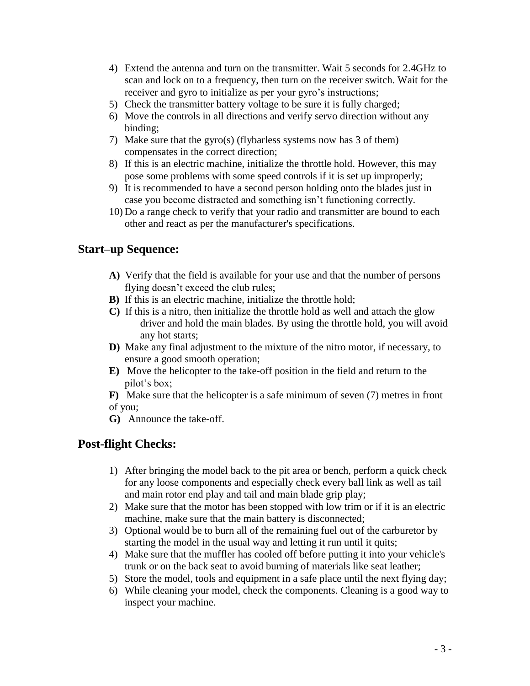- 4) Extend the antenna and turn on the transmitter. Wait 5 seconds for 2.4GHz to scan and lock on to a frequency, then turn on the receiver switch. Wait for the receiver and gyro to initialize as per your gyro's instructions;
- 5) Check the transmitter battery voltage to be sure it is fully charged;
- 6) Move the controls in all directions and verify servo direction without any binding;
- 7) Make sure that the gyro(s) (flybarless systems now has 3 of them) compensates in the correct direction;
- 8) If this is an electric machine, initialize the throttle hold. However, this may pose some problems with some speed controls if it is set up improperly;
- 9) It is recommended to have a second person holding onto the blades just in case you become distracted and something isn't functioning correctly.
- 10) Do a range check to verify that your radio and transmitter are bound to each other and react as per the manufacturer's specifications.

## **Start–up Sequence:**

- **A)** Verify that the field is available for your use and that the number of persons flying doesn't exceed the club rules;
- **B)** If this is an electric machine, initialize the throttle hold;
- **C)** If this is a nitro, then initialize the throttle hold as well and attach the glow driver and hold the main blades. By using the throttle hold, you will avoid any hot starts;
- **D)** Make any final adjustment to the mixture of the nitro motor, if necessary, to ensure a good smooth operation;
- **E)** Move the helicopter to the take-off position in the field and return to the pilot's box;
- **F)** Make sure that the helicopter is a safe minimum of seven (7) metres in front of you;
- **G)** Announce the take-off.

## **Post-flight Checks:**

- 1) After bringing the model back to the pit area or bench, perform a quick check for any loose components and especially check every ball link as well as tail and main rotor end play and tail and main blade grip play;
- 2) Make sure that the motor has been stopped with low trim or if it is an electric machine, make sure that the main battery is disconnected;
- 3) Optional would be to burn all of the remaining fuel out of the carburetor by starting the model in the usual way and letting it run until it quits;
- 4) Make sure that the muffler has cooled off before putting it into your vehicle's trunk or on the back seat to avoid burning of materials like seat leather;
- 5) Store the model, tools and equipment in a safe place until the next flying day;
- 6) While cleaning your model, check the components. Cleaning is a good way to inspect your machine.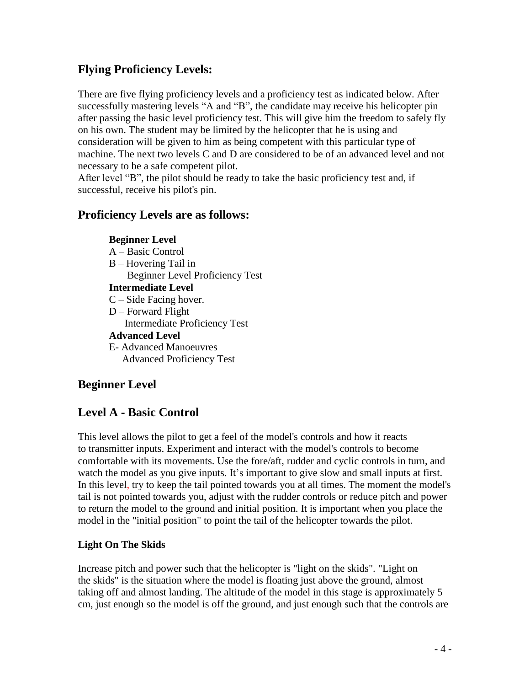# **Flying Proficiency Levels:**

There are five flying proficiency levels and a proficiency test as indicated below. After successfully mastering levels "A and "B", the candidate may receive his helicopter pin after passing the basic level proficiency test. This will give him the freedom to safely fly on his own. The student may be limited by the helicopter that he is using and consideration will be given to him as being competent with this particular type of machine. The next two levels C and D are considered to be of an advanced level and not necessary to be a safe competent pilot.

After level "B", the pilot should be ready to take the basic proficiency test and, if successful, receive his pilot's pin.

### **Proficiency Levels are as follows:**

#### **Beginner Level**

- A Basic Control
- B Hovering Tail in Beginner Level Proficiency Test

#### **Intermediate Level**

- C Side Facing hover.
- D Forward Flight Intermediate Proficiency Test
- **Advanced Level**
- E- Advanced Manoeuvres Advanced Proficiency Test

# **Beginner Level**

# **Level A - Basic Control**

This level allows the pilot to get a feel of the model's controls and how it reacts to transmitter inputs. Experiment and interact with the model's controls to become comfortable with its movements. Use the fore/aft, rudder and cyclic controls in turn, and watch the model as you give inputs. It's important to give slow and small inputs at first. In this level, try to keep the tail pointed towards you at all times. The moment the model's tail is not pointed towards you, adjust with the rudder controls or reduce pitch and power to return the model to the ground and initial position. It is important when you place the model in the "initial position" to point the tail of the helicopter towards the pilot.

#### **Light On The Skids**

Increase pitch and power such that the helicopter is "light on the skids". "Light on the skids" is the situation where the model is floating just above the ground, almost taking off and almost landing. The altitude of the model in this stage is approximately 5 cm, just enough so the model is off the ground, and just enough such that the controls are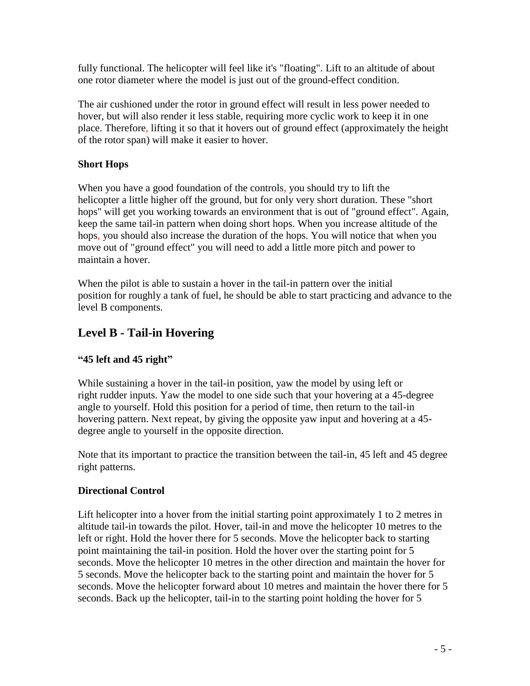fully functional. The helicopter will feel like it's "floating". Lift to an altitude of about one rotor diameter where the model is just out of the ground-effect condition.

The air cushioned under the rotor in ground effect will result in less power needed to hover, but will also render it less stable, requiring more cyclic work to keep it in one place. Therefore, lifting it so that it hovers out of ground effect (approximately the height of the rotor span) will make it easier to hover.

#### **Short Hops**

When you have a good foundation of the controls, you should try to lift the helicopter a little higher off the ground, but for only very short duration. These "short hops" will get you working towards an environment that is out of "ground effect". Again, keep the same tail-in pattern when doing short hops. When you increase altitude of the hops, you should also increase the duration of the hops. You will notice that when you move out of "ground effect" you will need to add a little more pitch and power to maintain a hover.

When the pilot is able to sustain a hover in the tail-in pattern over the initial position for roughly a tank of fuel, he should be able to start practicing and advance to the level B components.

# **Level B - Tail-in Hovering**

#### **"45 left and 45 right"**

While sustaining a hover in the tail-in position, yaw the model by using left or right rudder inputs. Yaw the model to one side such that your hovering at a 45-degree angle to yourself. Hold this position for a period of time, then return to the tail-in hovering pattern. Next repeat, by giving the opposite yaw input and hovering at a 45 degree angle to yourself in the opposite direction.

Note that its important to practice the transition between the tail-in, 45 left and 45 degree right patterns.

#### **Directional Control**

Lift helicopter into a hover from the initial starting point approximately 1 to 2 metres in altitude tail-in towards the pilot. Hover, tail-in and move the helicopter 10 metres to the left or right. Hold the hover there for 5 seconds. Move the helicopter back to starting point maintaining the tail-in position. Hold the hover over the starting point for 5 seconds. Move the helicopter 10 metres in the other direction and maintain the hover for 5 seconds. Move the helicopter back to the starting point and maintain the hover for 5 seconds. Move the helicopter forward about 10 metres and maintain the hover there for 5 seconds. Back up the helicopter, tail-in to the starting point holding the hover for 5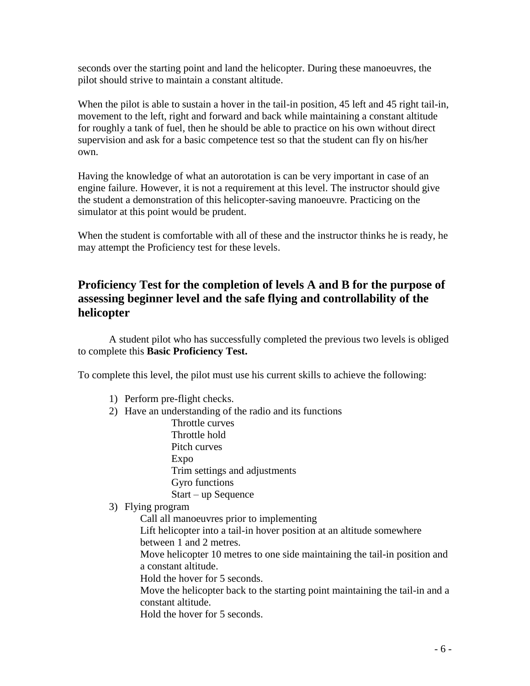seconds over the starting point and land the helicopter. During these manoeuvres, the pilot should strive to maintain a constant altitude.

When the pilot is able to sustain a hover in the tail-in position, 45 left and 45 right tail-in, movement to the left, right and forward and back while maintaining a constant altitude for roughly a tank of fuel, then he should be able to practice on his own without direct supervision and ask for a basic competence test so that the student can fly on his/her own.

Having the knowledge of what an autorotation is can be very important in case of an engine failure. However, it is not a requirement at this level. The instructor should give the student a demonstration of this helicopter-saving manoeuvre. Practicing on the simulator at this point would be prudent.

When the student is comfortable with all of these and the instructor thinks he is ready, he may attempt the Proficiency test for these levels.

# **Proficiency Test for the completion of levels A and B for the purpose of assessing beginner level and the safe flying and controllability of the helicopter**

A student pilot who has successfully completed the previous two levels is obliged to complete this **Basic Proficiency Test.**

To complete this level, the pilot must use his current skills to achieve the following:

- 1) Perform pre-flight checks.
- 2) Have an understanding of the radio and its functions

Throttle curves Throttle hold Pitch curves

Expo

Trim settings and adjustments Gyro functions Start – up Sequence

#### 3) Flying program

Call all manoeuvres prior to implementing Lift helicopter into a tail-in hover position at an altitude somewhere between 1 and 2 metres. Move helicopter 10 metres to one side maintaining the tail-in position and a constant altitude. Hold the hover for 5 seconds. Move the helicopter back to the starting point maintaining the tail-in and a constant altitude.

Hold the hover for 5 seconds.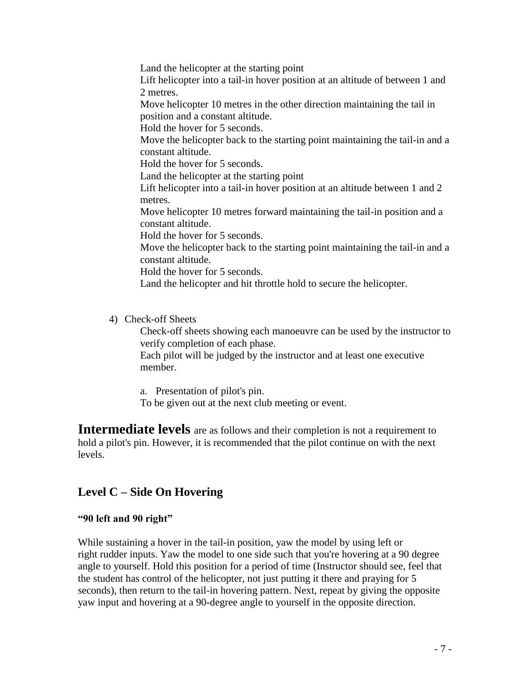Land the helicopter at the starting point Lift helicopter into a tail-in hover position at an altitude of between 1 and 2 metres. Move helicopter 10 metres in the other direction maintaining the tail in position and a constant altitude. Hold the hover for 5 seconds. Move the helicopter back to the starting point maintaining the tail-in and a constant altitude. Hold the hover for 5 seconds. Land the helicopter at the starting point Lift helicopter into a tail-in hover position at an altitude between 1 and 2 metres. Move helicopter 10 metres forward maintaining the tail-in position and a constant altitude. Hold the hover for 5 seconds. Move the helicopter back to the starting point maintaining the tail-in and a constant altitude. Hold the hover for 5 seconds. Land the helicopter and hit throttle hold to secure the helicopter.

4) Check-off Sheets

Check-off sheets showing each manoeuvre can be used by the instructor to verify completion of each phase.

Each pilot will be judged by the instructor and at least one executive member.

a. Presentation of pilot's pin.

To be given out at the next club meeting or event.

**Intermediate levels** are as follows and their completion is not a requirement to hold a pilot's pin. However, it is recommended that the pilot continue on with the next levels.

## **Level C – Side On Hovering**

#### **"90 left and 90 right"**

While sustaining a hover in the tail-in position, yaw the model by using left or right rudder inputs. Yaw the model to one side such that you're hovering at a 90 degree angle to yourself. Hold this position for a period of time (Instructor should see, feel that the student has control of the helicopter, not just putting it there and praying for 5 seconds), then return to the tail-in hovering pattern. Next, repeat by giving the opposite yaw input and hovering at a 90-degree angle to yourself in the opposite direction.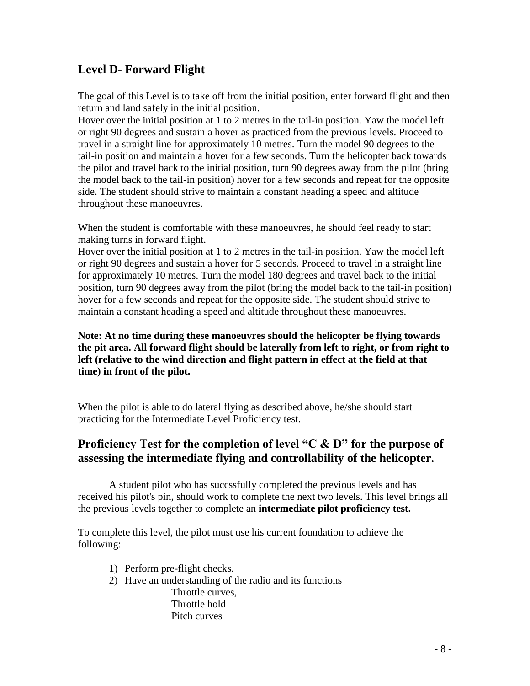# **Level D- Forward Flight**

The goal of this Level is to take off from the initial position, enter forward flight and then return and land safely in the initial position.

Hover over the initial position at 1 to 2 metres in the tail-in position. Yaw the model left or right 90 degrees and sustain a hover as practiced from the previous levels. Proceed to travel in a straight line for approximately 10 metres. Turn the model 90 degrees to the tail-in position and maintain a hover for a few seconds. Turn the helicopter back towards the pilot and travel back to the initial position, turn 90 degrees away from the pilot (bring the model back to the tail-in position) hover for a few seconds and repeat for the opposite side. The student should strive to maintain a constant heading a speed and altitude throughout these manoeuvres.

When the student is comfortable with these manoeuvres, he should feel ready to start making turns in forward flight.

Hover over the initial position at 1 to 2 metres in the tail-in position. Yaw the model left or right 90 degrees and sustain a hover for 5 seconds. Proceed to travel in a straight line for approximately 10 metres. Turn the model 180 degrees and travel back to the initial position, turn 90 degrees away from the pilot (bring the model back to the tail-in position) hover for a few seconds and repeat for the opposite side. The student should strive to maintain a constant heading a speed and altitude throughout these manoeuvres.

**Note: At no time during these manoeuvres should the helicopter be flying towards the pit area. All forward flight should be laterally from left to right, or from right to left (relative to the wind direction and flight pattern in effect at the field at that time) in front of the pilot.**

When the pilot is able to do lateral flying as described above, he/she should start practicing for the Intermediate Level Proficiency test.

## **Proficiency Test for the completion of level "C & D" for the purpose of assessing the intermediate flying and controllability of the helicopter.**

A student pilot who has succssfully completed the previous levels and has received his pilot's pin, should work to complete the next two levels. This level brings all the previous levels together to complete an **intermediate pilot proficiency test.**

To complete this level, the pilot must use his current foundation to achieve the following:

- 1) Perform pre-flight checks.
- 2) Have an understanding of the radio and its functions Throttle curves, Throttle hold Pitch curves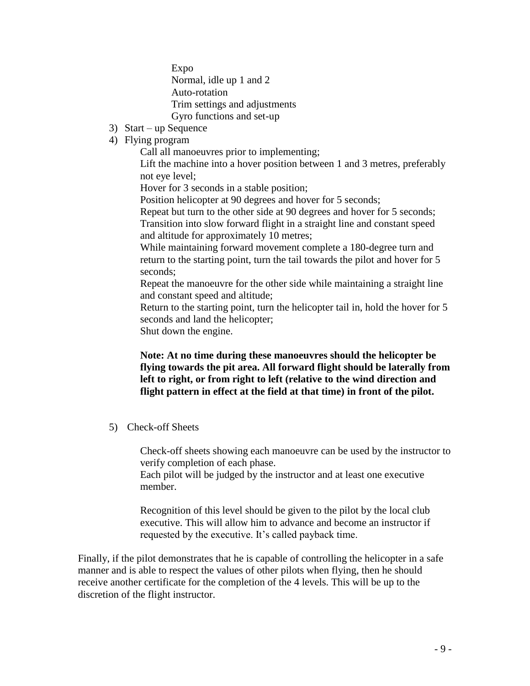Expo Normal, idle up 1 and 2 Auto-rotation Trim settings and adjustments Gyro functions and set-up

- 3) Start up Sequence
- 4) Flying program

Call all manoeuvres prior to implementing;

Lift the machine into a hover position between 1 and 3 metres, preferably not eye level;

Hover for 3 seconds in a stable position;

Position helicopter at 90 degrees and hover for 5 seconds;

Repeat but turn to the other side at 90 degrees and hover for 5 seconds; Transition into slow forward flight in a straight line and constant speed and altitude for approximately 10 metres;

While maintaining forward movement complete a 180-degree turn and return to the starting point, turn the tail towards the pilot and hover for 5 seconds;

Repeat the manoeuvre for the other side while maintaining a straight line and constant speed and altitude;

Return to the starting point, turn the helicopter tail in, hold the hover for 5 seconds and land the helicopter;

Shut down the engine.

#### **Note: At no time during these manoeuvres should the helicopter be flying towards the pit area. All forward flight should be laterally from left to right, or from right to left (relative to the wind direction and flight pattern in effect at the field at that time) in front of the pilot.**

5) Check-off Sheets

Check-off sheets showing each manoeuvre can be used by the instructor to verify completion of each phase.

Each pilot will be judged by the instructor and at least one executive member.

Recognition of this level should be given to the pilot by the local club executive. This will allow him to advance and become an instructor if requested by the executive. It's called payback time.

Finally, if the pilot demonstrates that he is capable of controlling the helicopter in a safe manner and is able to respect the values of other pilots when flying, then he should receive another certificate for the completion of the 4 levels. This will be up to the discretion of the flight instructor.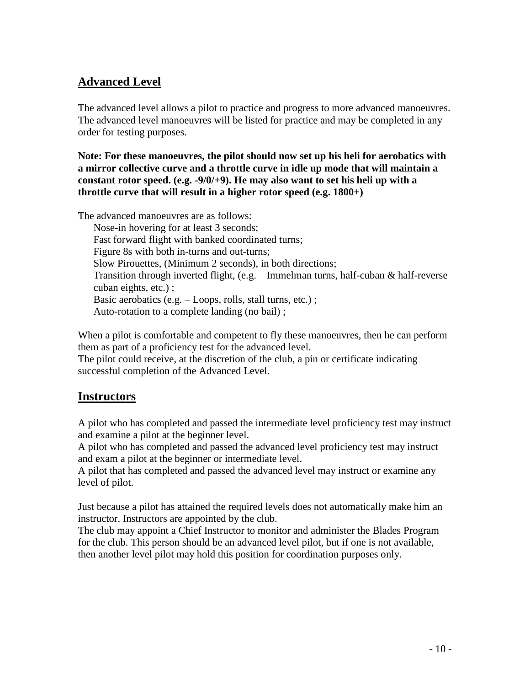# **Advanced Level**

The advanced level allows a pilot to practice and progress to more advanced manoeuvres. The advanced level manoeuvres will be listed for practice and may be completed in any order for testing purposes.

**Note: For these manoeuvres, the pilot should now set up his heli for aerobatics with a mirror collective curve and a throttle curve in idle up mode that will maintain a constant rotor speed. (e.g. -9/0/+9). He may also want to set his heli up with a throttle curve that will result in a higher rotor speed (e.g. 1800+)**

The advanced manoeuvres are as follows:

Nose-in hovering for at least 3 seconds; Fast forward flight with banked coordinated turns; Figure 8s with both in-turns and out-turns; Slow Pirouettes, (Minimum 2 seconds), in both directions; Transition through inverted flight, (e.g. – Immelman turns, half-cuban & half-reverse cuban eights, etc.) ; Basic aerobatics (e.g. – Loops, rolls, stall turns, etc.) ; Auto-rotation to a complete landing (no bail) ;

When a pilot is comfortable and competent to fly these manoeuvres, then he can perform them as part of a proficiency test for the advanced level.

The pilot could receive, at the discretion of the club, a pin or certificate indicating successful completion of the Advanced Level.

## **Instructors**

A pilot who has completed and passed the intermediate level proficiency test may instruct and examine a pilot at the beginner level.

A pilot who has completed and passed the advanced level proficiency test may instruct and exam a pilot at the beginner or intermediate level.

A pilot that has completed and passed the advanced level may instruct or examine any level of pilot.

Just because a pilot has attained the required levels does not automatically make him an instructor. Instructors are appointed by the club.

The club may appoint a Chief Instructor to monitor and administer the Blades Program for the club. This person should be an advanced level pilot, but if one is not available, then another level pilot may hold this position for coordination purposes only.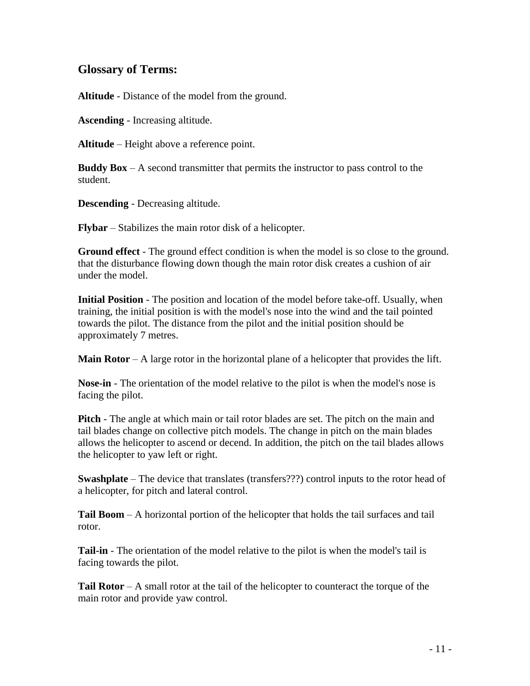#### **Glossary of Terms:**

**Altitude** - Distance of the model from the ground.

**Ascending** - Increasing altitude.

**Altitude** – Height above a reference point.

**Buddy Box** – A second transmitter that permits the instructor to pass control to the student.

**Descending** - Decreasing altitude.

**Flybar** – Stabilizes the main rotor disk of a helicopter.

**Ground effect** - The ground effect condition is when the model is so close to the ground. that the disturbance flowing down though the main rotor disk creates a cushion of air under the model.

**Initial Position** - The position and location of the model before take-off. Usually, when training, the initial position is with the model's nose into the wind and the tail pointed towards the pilot. The distance from the pilot and the initial position should be approximately 7 metres.

**Main Rotor** – A large rotor in the horizontal plane of a helicopter that provides the lift.

**Nose-in** - The orientation of the model relative to the pilot is when the model's nose is facing the pilot.

**Pitch** - The angle at which main or tail rotor blades are set. The pitch on the main and tail blades change on collective pitch models. The change in pitch on the main blades allows the helicopter to ascend or decend. In addition, the pitch on the tail blades allows the helicopter to yaw left or right.

**Swashplate** – The device that translates (transfers???) control inputs to the rotor head of a helicopter, for pitch and lateral control.

**Tail Boom** – A horizontal portion of the helicopter that holds the tail surfaces and tail rotor.

**Tail-in** - The orientation of the model relative to the pilot is when the model's tail is facing towards the pilot.

**Tail Rotor** – A small rotor at the tail of the helicopter to counteract the torque of the main rotor and provide yaw control.